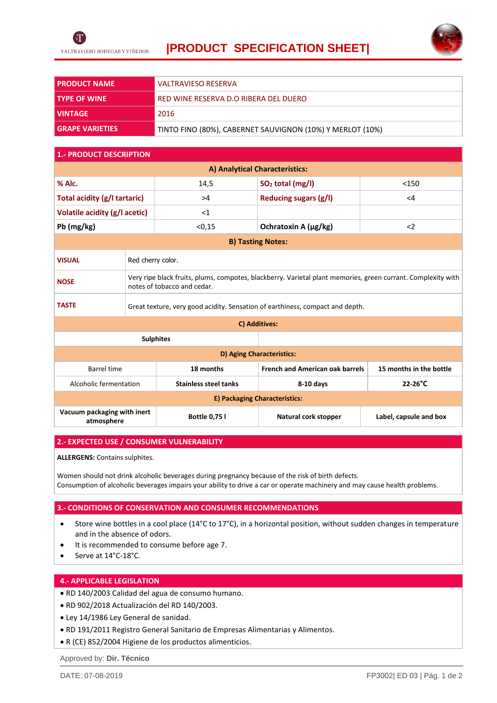



| <b>PRODUCT NAME</b>    | <b>VALTRAVIESO RESERVA</b>                                |  |  |
|------------------------|-----------------------------------------------------------|--|--|
| <b>TYPE OF WINE</b>    | RED WINE RESERVA D.O RIBERA DEL DUERO                     |  |  |
| <b>VINTAGE</b>         | 2016                                                      |  |  |
| <b>GRAPE VARIETIES</b> | TINTO FINO (80%), CABERNET SAUVIGNON (10%) Y MERLOT (10%) |  |  |

## **1.- PRODUCT DESCRIPTION**

| A) Analytical Characteristics:            |                                                                                                                                             |                              |                                        |                         |  |  |
|-------------------------------------------|---------------------------------------------------------------------------------------------------------------------------------------------|------------------------------|----------------------------------------|-------------------------|--|--|
| % Alc.                                    |                                                                                                                                             | 14,5                         | SO <sub>2</sub> total (mg/l)           | < 150                   |  |  |
| Total acidity (g/l tartaric)              |                                                                                                                                             | >4                           | <b>Reducing sugars (g/l)</b>           | $\leq$ 4                |  |  |
| Volatile acidity (g/l acetic)             |                                                                                                                                             | $<$ 1                        |                                        |                         |  |  |
| Pb (mg/kg)                                |                                                                                                                                             | < 0, 15                      | Ochratoxin A (μg/kg)                   | $\langle$               |  |  |
| <b>B) Tasting Notes:</b>                  |                                                                                                                                             |                              |                                        |                         |  |  |
| <b>VISUAL</b>                             | Red cherry color.                                                                                                                           |                              |                                        |                         |  |  |
| <b>NOSE</b>                               | Very ripe black fruits, plums, compotes, blackberry. Varietal plant memories, green currant. Complexity with<br>notes of tobacco and cedar. |                              |                                        |                         |  |  |
| <b>TASTE</b>                              | Great texture, very good acidity. Sensation of earthiness, compact and depth.                                                               |                              |                                        |                         |  |  |
| C) Additives:                             |                                                                                                                                             |                              |                                        |                         |  |  |
| <b>Sulphites</b>                          |                                                                                                                                             |                              |                                        |                         |  |  |
| D) Aging Characteristics:                 |                                                                                                                                             |                              |                                        |                         |  |  |
| <b>Barrel time</b>                        |                                                                                                                                             | 18 months                    | <b>French and American oak barrels</b> | 15 months in the bottle |  |  |
| Alcoholic fermentation                    |                                                                                                                                             | <b>Stainless steel tanks</b> | 8-10 days                              | $22-26$ °C              |  |  |
| E) Packaging Characteristics:             |                                                                                                                                             |                              |                                        |                         |  |  |
| Vacuum packaging with inert<br>atmosphere |                                                                                                                                             | <b>Bottle 0,75 l</b>         | Natural cork stopper                   | Label, capsule and box  |  |  |

### **2.- EXPECTED USE / CONSUMER VULNERABILITY**

**ALLERGENS:** Contains sulphites.

Women should not drink alcoholic beverages during pregnancy because of the risk of birth defects. Consumption of alcoholic beverages impairs your ability to drive a car or operate machinery and may cause health problems.

#### **3.- CONDITIONS OF CONSERVATION AND CONSUMER RECOMMENDATIONS**

- Store wine bottles in a cool place (14°C to 17°C), in a horizontal position, without sudden changes in temperature and in the absence of odors.
- It is recommended to consume before age 7.
- Serve at 14°C-18°C.

# **4.- APPLICABLE LEGISLATION**

- RD 140/2003 Calidad del agua de consumo humano.
- RD 902/2018 Actualización del RD 140/2003.
- Ley 14/1986 Ley General de sanidad.
- RD 191/2011 Registro General Sanitario de Empresas Alimentarias y Alimentos.
- R (CE) 852/2004 Higiene de los productos alimenticios.

Approved by: **Dir. Técnico**